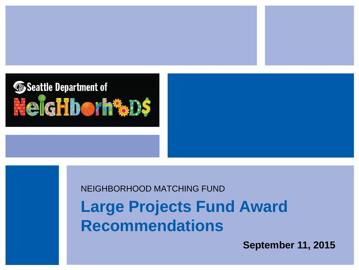

#### **Large Projects Fund Award Recommendations** NEIGHBORHOOD MATCHING FUND

**September 11, 2015**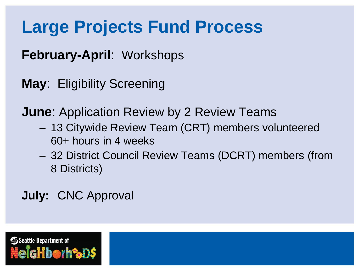#### **Large Projects Fund Process**

**February-April**: Workshops

**May**: Eligibility Screening

**June**: Application Review by 2 Review Teams

- 13 Citywide Review Team (CRT) members volunteered 60+ hours in 4 weeks
- 32 District Council Review Teams (DCRT) members (from 8 Districts)
- **July:** CNC Approval

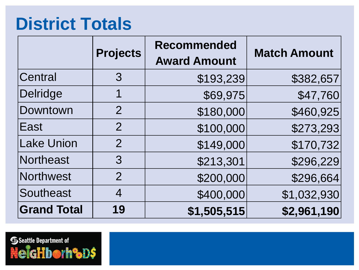#### **District Totals**

|                    | <b>Projects</b> | <b>Recommended</b><br><b>Award Amount</b> | <b>Match Amount</b> |
|--------------------|-----------------|-------------------------------------------|---------------------|
| Central            | 3               | \$193,239                                 | \$382,657           |
| Delridge           |                 | \$69,975                                  | \$47,760            |
| Downtown           | $\overline{2}$  | \$180,000                                 | \$460,925           |
| East               | $\overline{2}$  | \$100,000                                 | \$273,293           |
| <b>Lake Union</b>  | $\overline{2}$  | \$149,000                                 | \$170,732           |
| <b>Northeast</b>   | 3               | \$213,301                                 | \$296,229           |
| <b>Northwest</b>   | $\overline{2}$  | \$200,000                                 | \$296,664           |
| <b>Southeast</b>   | 4               | \$400,000                                 | \$1,032,930         |
| <b>Grand Total</b> | 19              | \$1,505,515                               | \$2,961,190         |

**Seattle Department of<br>Reighborht 6DS**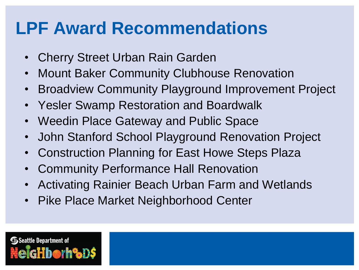### **LPF Award Recommendations**

- Cherry Street Urban Rain Garden
- Mount Baker Community Clubhouse Renovation
- Broadview Community Playground Improvement Project
- Yesler Swamp Restoration and Boardwalk
- Weedin Place Gateway and Public Space
- John Stanford School Playground Renovation Project
- Construction Planning for East Howe Steps Plaza
- Community Performance Hall Renovation
- Activating Rainier Beach Urban Farm and Wetlands
- Pike Place Market Neighborhood Center

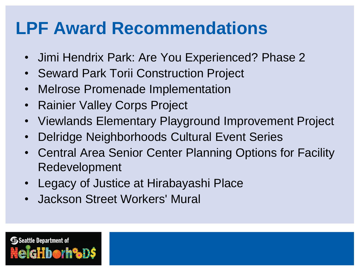## **LPF Award Recommendations**

- Jimi Hendrix Park: Are You Experienced? Phase 2
- Seward Park Torii Construction Project
- Melrose Promenade Implementation
- **Rainier Valley Corps Project**
- Viewlands Elementary Playground Improvement Project
- Delridge Neighborhoods Cultural Event Series
- Central Area Senior Center Planning Options for Facility Redevelopment
- Legacy of Justice at Hirabayashi Place
- Jackson Street Workers' Mural